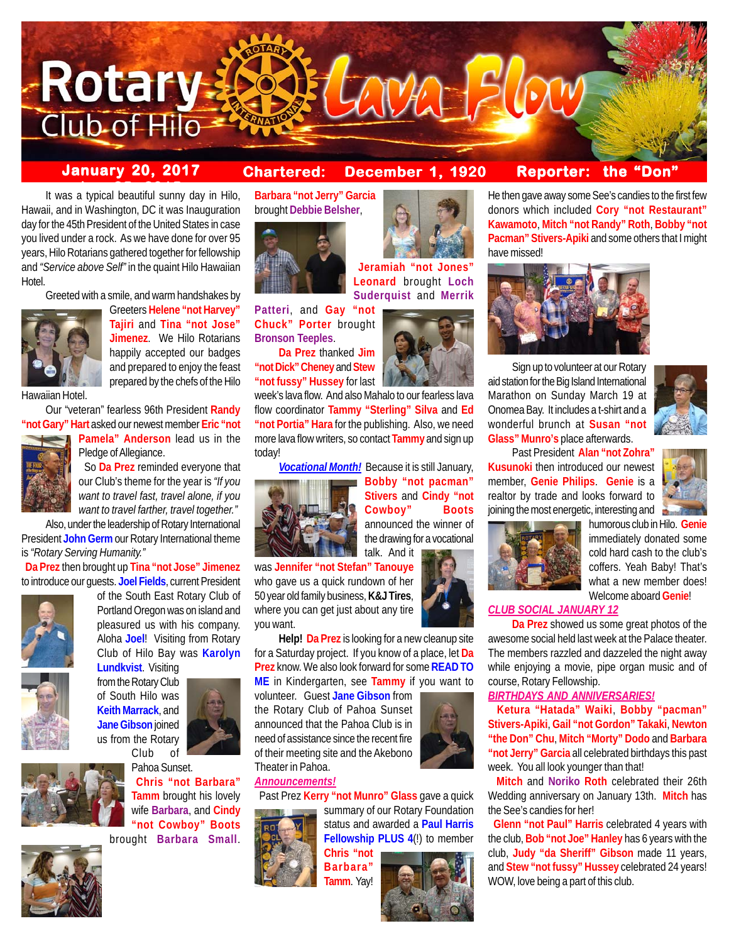

# **January 20, 2017 Chartered: December 1, 1920**

**Jeramiah "not Jones" Leonard** brought **Loch Suderquist** and **Merrik**

# **Reporter: the "Don"**

It was a typical beautiful sunny day in Hilo, Hawaii, and in Washington, DC it was Inauguration day for the 45th President of the United States in case you lived under a rock. As we have done for over 95 years, Hilo Rotarians gathered together for fellowship and *"Service above Self"* in the quaint Hilo Hawaiian Hotel.

Greeted with a smile, and warm handshakes by



Greeters **Helene "not Harvey" Tajiri** and **Tina "not Jose" Jimenez**. We Hilo Rotarians happily accepted our badges and prepared to enjoy the feast prepared by the chefs of the Hilo

Hawaiian Hotel.

Our "veteran" fearless 96th President **Randy "not Gary" Hart** asked our newest member **Eric "not**



**Pamela" Anderson** lead us in the Pledge of Allegiance.

 So **Da Prez** reminded everyone that our Club's theme for the year is *"If you want to travel fast, travel alone, if you want to travel farther, travel together."*

Also, under the leadership of Rotary International President **John Germ** our Rotary International theme is *"Rotary Serving Humanity."*

 **Da Prez** then brought up **Tina "not Jose" Jimenez** to introduce our guests. **Joel Fields**, current President



of the South East Rotary Club of Portland Oregon was on island and pleasured us with his company. Aloha **Joel**! Visiting from Rotary Club of Hilo Bay was **Karolyn**



**Lundkvist**. Visiting from the Rotary Club of South Hilo was **Keith Marrack**, and **Jane Gibson** joined



Pahoa Sunset. **Chris "not Barbara" Tamm** brought his lovely wife **Barbara**, and **Cindy "not Cowboy" Boots** brought **Barbara Small**.

**Barbara "not Jerry" Garcia** brought **Debbie Belsher**,



**Patteri**, and **Gay "not Chuck" Porter** brought **Bronson Teeples**.

**Da Prez** thanked **Jim "not Dick" Cheney** and **Stew "not fussy" Hussey** for last

week's lava flow. And also Mahalo to our fearless lava flow coordinator **Tammy "Sterling" Silva** and **Ed "not Portia" Hara** for the publishing. Also, we need more lava flow writers, so contact **Tammy** and sign up today!

*Vocational Month!* Because it is still January, **Bobby "not pacman"**



**Cowboy" Boots** announced the winner of the drawing for a vocational talk. And it

**Stivers** and **Cindy "not**

was **Jennifer "not Stefan" Tanouye** who gave us a quick rundown of her 50 year old family business, **K&J Tires**, where you can get just about any tire you want.

**Help! Da Prez** is looking for a new cleanup site for a Saturday project. If you know of a place, let **Da Prez** know. We also look forward for some **READ TO ME** in Kindergarten, see **Tammy** if you want to

volunteer. Guest **Jane Gibson** from the Rotary Club of Pahoa Sunset announced that the Pahoa Club is in need of assistance since the recent fire of their meeting site and the Akebono Theater in Pahoa.

#### *Announcements!*

Past Prez **Kerry "not Munro" Glass** gave a quick



summary of our Rotary Foundation status and awarded a **Paul Harris Fellowship PLUS 4**(!) to member

**Chris "not Barbara" Tamm**. Yay!



He then gave away some See's candies to the first few donors which included **Cory "not Restaurant" Kawamoto**, **Mitch "not Randy" Roth**, **Bobby "not Pacman" Stivers-Apiki** and some others that I might have missed!



Sign up to volunteer at our Rotary aid station for the Big Island International Marathon on Sunday March 19 at Onomea Bay. It includes a t-shirt and a wonderful brunch at **Susan "not Glass" Munro's** place afterwards.

Past President **Alan "not Zohra Kusunoki** then introduced our newest member, **Genie Philips**. **Genie** is a realtor by trade and looks forward to joining the most energetic, interesting and





humorous club in Hilo. **Genie** immediately donated some cold hard cash to the club's coffers. Yeah Baby! That's what a new member does! Welcome aboard **Genie**!

# *CLUB SOCIAL JANUARY 12*

**Da Prez** showed us some great photos of the awesome social held last week at the Palace theater. The members razzled and dazzeled the night away while enjoying a movie, pipe organ music and of course, Rotary Fellowship.

#### *BIRTHDAYS AND ANNIVERSARIES!*

 **Ketura "Hatada" Waiki**, **Bobby "pacman" Stivers-Apiki**, **Gail "not Gordon" Takaki**, **Newton "the Don" Chu**, **Mitch "Morty" Dodo** and **Barbara "not Jerry" Garcia** all celebrated birthdays this past week. You all look younger than that!

 **Mitch** and **Noriko Roth** celebrated their 26th Wedding anniversary on January 13th. **Mitch** has the See's candies for her!

 **Glenn "not Paul" Harris** celebrated 4 years with the club, **Bob "not Joe" Hanley** has 6 years with the club, **Judy "da Sheriff" Gibson** made 11 years, and **Stew "not fussy" Hussey** celebrated 24 years! WOW, love being a part of this club.





us from the Rotary Club of